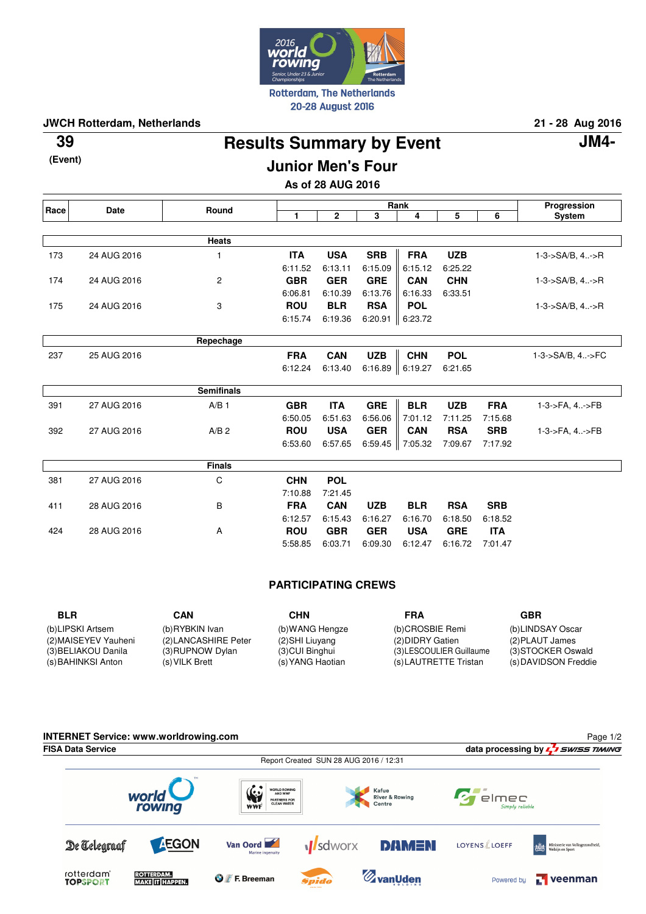

20-28 August 2016

**JWCH Rotterdam, Netherlands 21 - 28 Aug 2016**

**Results Summary by Event 39 JM4-**

**(Event)**

# **Junior Men's Four**

**As of 28 AUG 2016**

| Race | <b>Date</b> | Round             | Rank       |              |            |            |            |            | Progression                 |
|------|-------------|-------------------|------------|--------------|------------|------------|------------|------------|-----------------------------|
|      |             |                   | 1          | $\mathbf{2}$ | 3          | 4          | 5          | 6          | <b>System</b>               |
|      |             |                   |            |              |            |            |            |            |                             |
|      |             | <b>Heats</b>      |            |              |            |            |            |            |                             |
| 173  | 24 AUG 2016 | 1                 | <b>ITA</b> | <b>USA</b>   | <b>SRB</b> | <b>FRA</b> | <b>UZB</b> |            | $1 - 3 - S A/B$ , $4 - S R$ |
|      |             |                   | 6:11.52    | 6:13.11      | 6:15.09    | 6:15.12    | 6:25.22    |            |                             |
| 174  | 24 AUG 2016 | 2                 | <b>GBR</b> | <b>GER</b>   | <b>GRE</b> | <b>CAN</b> | <b>CHN</b> |            | $1 - 3 - S A/B$ , $4 - S R$ |
|      |             |                   | 6:06.81    | 6:10.39      | 6:13.76    | 6:16.33    | 6:33.51    |            |                             |
| 175  | 24 AUG 2016 | 3                 | <b>ROU</b> | <b>BLR</b>   | <b>RSA</b> | <b>POL</b> |            |            | $1 - 3 - S A/B$ , $4 - S R$ |
|      |             |                   | 6:15.74    | 6:19.36      | 6:20.91    | 6:23.72    |            |            |                             |
|      |             |                   |            |              |            |            |            |            |                             |
|      |             | Repechage         |            |              |            |            |            |            |                             |
| 237  | 25 AUG 2016 |                   | <b>FRA</b> | <b>CAN</b>   | <b>UZB</b> | <b>CHN</b> | <b>POL</b> |            | 1-3->SA/B, 4->FC            |
|      |             |                   | 6:12.24    | 6:13.40      | 6:16.89    | 6:19.27    | 6:21.65    |            |                             |
|      |             |                   |            |              |            |            |            |            |                             |
|      |             | <b>Semifinals</b> |            |              |            |            |            |            |                             |
| 391  | 27 AUG 2016 | A/B <sub>1</sub>  | <b>GBR</b> | <b>ITA</b>   | <b>GRE</b> | <b>BLR</b> | <b>UZB</b> | <b>FRA</b> | 1-3->FA, 4->FB              |
|      |             |                   | 6:50.05    | 6:51.63      | 6:56.06    | 7:01.12    | 7:11.25    | 7:15.68    |                             |
| 392  | 27 AUG 2016 | A/B <sub>2</sub>  | <b>ROU</b> | <b>USA</b>   | <b>GER</b> | <b>CAN</b> | <b>RSA</b> | <b>SRB</b> | 1-3->FA, 4->FB              |
|      |             |                   | 6:53.60    | 6:57.65      | 6:59.45    | 7:05.32    | 7:09.67    | 7:17.92    |                             |
|      |             | <b>Finals</b>     |            |              |            |            |            |            |                             |
|      |             |                   | <b>CHN</b> | <b>POL</b>   |            |            |            |            |                             |
| 381  | 27 AUG 2016 | C                 |            |              |            |            |            |            |                             |
|      |             |                   | 7:10.88    | 7:21.45      |            |            |            |            |                             |
| 411  | 28 AUG 2016 | B                 | <b>FRA</b> | <b>CAN</b>   | <b>UZB</b> | <b>BLR</b> | <b>RSA</b> | <b>SRB</b> |                             |
|      |             |                   | 6:12.57    | 6:15.43      | 6:16.27    | 6:16.70    | 6:18.50    | 6:18.52    |                             |
| 424  | 28 AUG 2016 | A                 | <b>ROU</b> | <b>GBR</b>   | <b>GER</b> | <b>USA</b> | <b>GRE</b> | <b>ITA</b> |                             |
|      |             |                   | 5:58.85    | 6:03.71      | 6:09.30    | 6:12.47    | 6:16.72    | 7:01.47    |                             |

# **PARTICIPATING CREWS**

| <b>BLR</b>                                                        | CAN                                                        | <b>CHN</b>                                             | FRA                                                                  | GBR                                                           |
|-------------------------------------------------------------------|------------------------------------------------------------|--------------------------------------------------------|----------------------------------------------------------------------|---------------------------------------------------------------|
| (b)LIPSKI Artsem                                                  | (b)RYBKIN Ivan                                             | (b) WANG Hengze                                        | (b)CROSBIE Remi                                                      | (b)LINDSAY Oscar                                              |
| (2) MAISEYEV Yauheni<br>(3) BELIAKOU Danila<br>(s) BAHINKSI Anton | (2) LANCASHIRE Peter<br>(3) RUPNOW Dylan<br>(s) VILK Brett | (2) SHI Liuyang<br>(3) CUI Binghui<br>(s) YANG Haotian | (2) DIDRY Gatien<br>(3) LESCOULIER Guillaume<br>(s)LAUTRETTE Tristan | (2) PLAUT James<br>(3) STOCKER Oswald<br>(s) DAVIDSON Freddie |